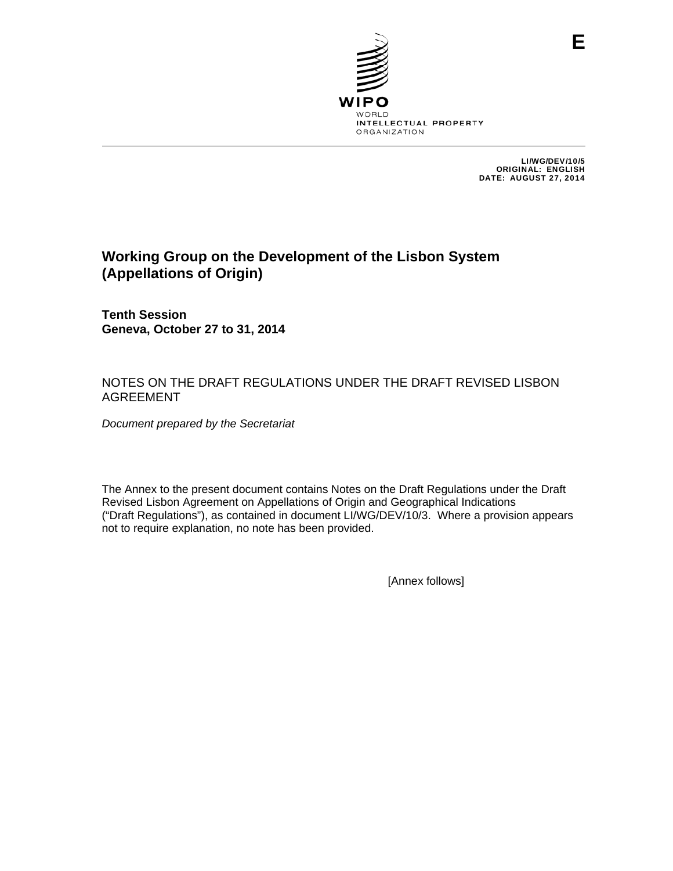

LI/WG/DEV/10/5 ORIGINAL: ENGLISH DATE: AUGUST 27, 2014

# **Working Group on the Development of the Lisbon System (Appellations of Origin)**

**Tenth Session Geneva, October 27 to 31, 2014** 

# NOTES ON THE DRAFT REGULATIONS UNDER THE DRAFT REVISED LISBON AGREEMENT

*Document prepared by the Secretariat* 

The Annex to the present document contains Notes on the Draft Regulations under the Draft Revised Lisbon Agreement on Appellations of Origin and Geographical Indications ("Draft Regulations"), as contained in document LI/WG/DEV/10/3. Where a provision appears not to require explanation, no note has been provided.

[Annex follows]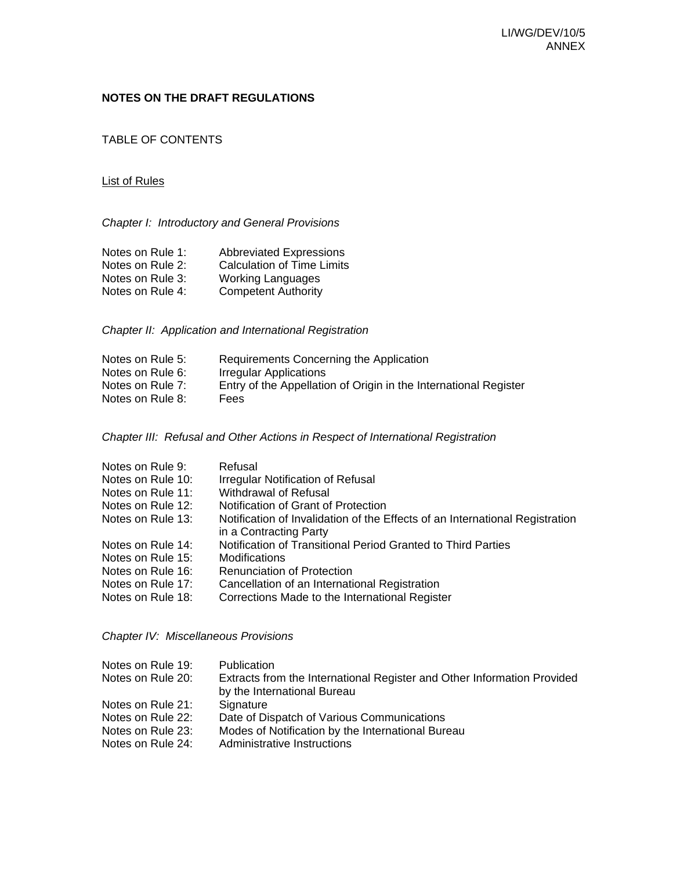# **NOTES ON THE DRAFT REGULATIONS**

TABLE OF CONTENTS

#### List of Rules

*Chapter I: Introductory and General Provisions* 

| Notes on Rule 1: | <b>Abbreviated Expressions</b>    |
|------------------|-----------------------------------|
| Notes on Rule 2: | <b>Calculation of Time Limits</b> |
| Notes on Rule 3: | <b>Working Languages</b>          |
| Notes on Rule 4: | <b>Competent Authority</b>        |

*Chapter II: Application and International Registration* 

| Notes on Rule 5: | Requirements Concerning the Application                          |
|------------------|------------------------------------------------------------------|
| Notes on Rule 6: | Irregular Applications                                           |
| Notes on Rule 7: | Entry of the Appellation of Origin in the International Register |
| Notes on Rule 8: | Fees                                                             |

*Chapter III: Refusal and Other Actions in Respect of International Registration* 

| Refusal                                                                                                |
|--------------------------------------------------------------------------------------------------------|
| <b>Irregular Notification of Refusal</b>                                                               |
| Withdrawal of Refusal                                                                                  |
| Notification of Grant of Protection                                                                    |
| Notification of Invalidation of the Effects of an International Registration<br>in a Contracting Party |
| Notification of Transitional Period Granted to Third Parties                                           |
| Modifications                                                                                          |
| <b>Renunciation of Protection</b>                                                                      |
| Cancellation of an International Registration                                                          |
| Corrections Made to the International Register                                                         |
|                                                                                                        |

*Chapter IV: Miscellaneous Provisions* 

| Notes on Rule 19: | <b>Publication</b>                                                      |
|-------------------|-------------------------------------------------------------------------|
| Notes on Rule 20: | Extracts from the International Register and Other Information Provided |
|                   | by the International Bureau                                             |
| Notes on Rule 21: | Signature                                                               |
| Notes on Rule 22: | Date of Dispatch of Various Communications                              |
| Notes on Rule 23: | Modes of Notification by the International Bureau                       |
| Notes on Rule 24: | Administrative Instructions                                             |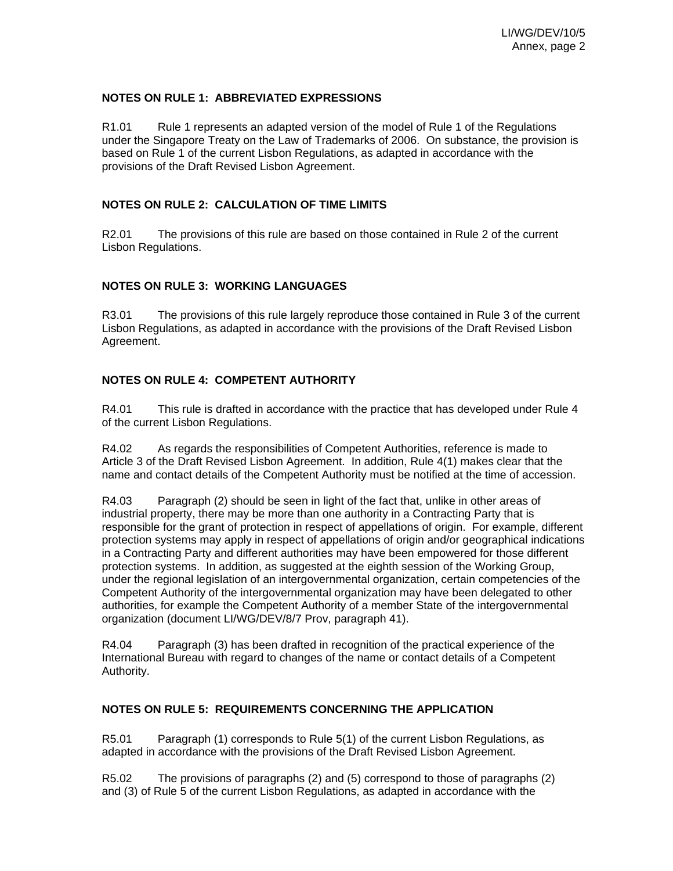#### **NOTES ON RULE 1: ABBREVIATED EXPRESSIONS**

R1.01 Rule 1 represents an adapted version of the model of Rule 1 of the Regulations under the Singapore Treaty on the Law of Trademarks of 2006. On substance, the provision is based on Rule 1 of the current Lisbon Regulations, as adapted in accordance with the provisions of the Draft Revised Lisbon Agreement.

### **NOTES ON RULE 2: CALCULATION OF TIME LIMITS**

R2.01 The provisions of this rule are based on those contained in Rule 2 of the current Lisbon Regulations.

### **NOTES ON RULE 3: WORKING LANGUAGES**

R3.01 The provisions of this rule largely reproduce those contained in Rule 3 of the current Lisbon Regulations, as adapted in accordance with the provisions of the Draft Revised Lisbon Agreement.

### **NOTES ON RULE 4: COMPETENT AUTHORITY**

R4.01 This rule is drafted in accordance with the practice that has developed under Rule 4 of the current Lisbon Regulations.

R4.02 As regards the responsibilities of Competent Authorities, reference is made to Article 3 of the Draft Revised Lisbon Agreement. In addition, Rule 4(1) makes clear that the name and contact details of the Competent Authority must be notified at the time of accession.

R4.03 Paragraph (2) should be seen in light of the fact that, unlike in other areas of industrial property, there may be more than one authority in a Contracting Party that is responsible for the grant of protection in respect of appellations of origin. For example, different protection systems may apply in respect of appellations of origin and/or geographical indications in a Contracting Party and different authorities may have been empowered for those different protection systems. In addition, as suggested at the eighth session of the Working Group, under the regional legislation of an intergovernmental organization, certain competencies of the Competent Authority of the intergovernmental organization may have been delegated to other authorities, for example the Competent Authority of a member State of the intergovernmental organization (document LI/WG/DEV/8/7 Prov, paragraph 41).

R4.04 Paragraph (3) has been drafted in recognition of the practical experience of the International Bureau with regard to changes of the name or contact details of a Competent Authority.

### **NOTES ON RULE 5: REQUIREMENTS CONCERNING THE APPLICATION**

R5.01 Paragraph (1) corresponds to Rule 5(1) of the current Lisbon Regulations, as adapted in accordance with the provisions of the Draft Revised Lisbon Agreement.

R5.02 The provisions of paragraphs (2) and (5) correspond to those of paragraphs (2) and (3) of Rule 5 of the current Lisbon Regulations, as adapted in accordance with the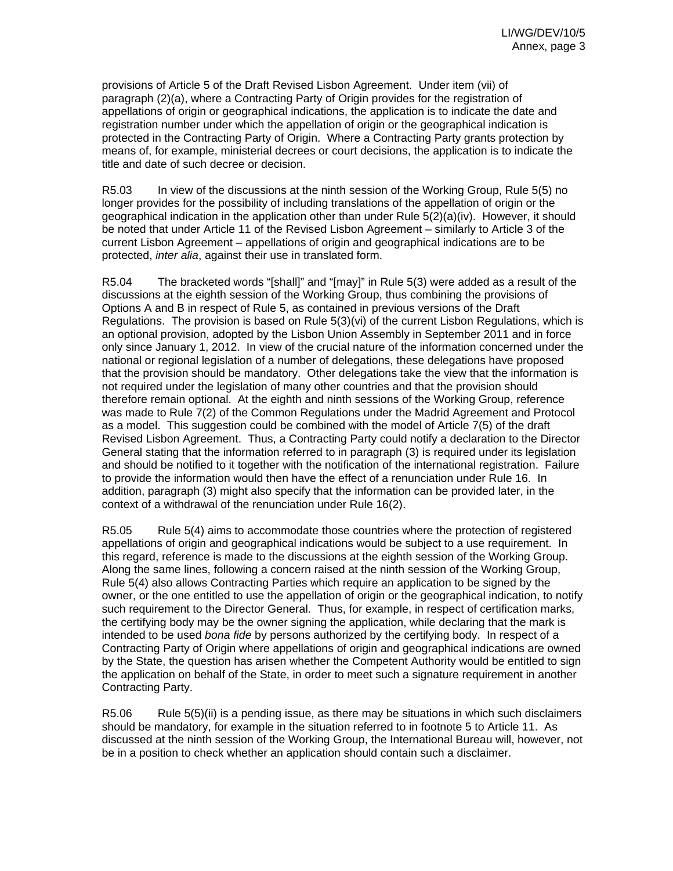provisions of Article 5 of the Draft Revised Lisbon Agreement. Under item (vii) of paragraph (2)(a), where a Contracting Party of Origin provides for the registration of appellations of origin or geographical indications, the application is to indicate the date and registration number under which the appellation of origin or the geographical indication is protected in the Contracting Party of Origin. Where a Contracting Party grants protection by means of, for example, ministerial decrees or court decisions, the application is to indicate the title and date of such decree or decision.

R5.03 In view of the discussions at the ninth session of the Working Group, Rule 5(5) no longer provides for the possibility of including translations of the appellation of origin or the geographical indication in the application other than under Rule 5(2)(a)(iv). However, it should be noted that under Article 11 of the Revised Lisbon Agreement – similarly to Article 3 of the current Lisbon Agreement – appellations of origin and geographical indications are to be protected, *inter alia*, against their use in translated form.

R5.04 The bracketed words "[shall]" and "[may]" in Rule 5(3) were added as a result of the discussions at the eighth session of the Working Group, thus combining the provisions of Options A and B in respect of Rule 5, as contained in previous versions of the Draft Regulations. The provision is based on Rule 5(3)(vi) of the current Lisbon Regulations, which is an optional provision, adopted by the Lisbon Union Assembly in September 2011 and in force only since January 1, 2012. In view of the crucial nature of the information concerned under the national or regional legislation of a number of delegations, these delegations have proposed that the provision should be mandatory. Other delegations take the view that the information is not required under the legislation of many other countries and that the provision should therefore remain optional. At the eighth and ninth sessions of the Working Group, reference was made to Rule 7(2) of the Common Regulations under the Madrid Agreement and Protocol as a model. This suggestion could be combined with the model of Article 7(5) of the draft Revised Lisbon Agreement. Thus, a Contracting Party could notify a declaration to the Director General stating that the information referred to in paragraph (3) is required under its legislation and should be notified to it together with the notification of the international registration. Failure to provide the information would then have the effect of a renunciation under Rule 16. In addition, paragraph (3) might also specify that the information can be provided later, in the context of a withdrawal of the renunciation under Rule 16(2).

R5.05 Rule 5(4) aims to accommodate those countries where the protection of registered appellations of origin and geographical indications would be subject to a use requirement. In this regard, reference is made to the discussions at the eighth session of the Working Group. Along the same lines, following a concern raised at the ninth session of the Working Group, Rule 5(4) also allows Contracting Parties which require an application to be signed by the owner, or the one entitled to use the appellation of origin or the geographical indication, to notify such requirement to the Director General. Thus, for example, in respect of certification marks, the certifying body may be the owner signing the application, while declaring that the mark is intended to be used *bona fide* by persons authorized by the certifying body. In respect of a Contracting Party of Origin where appellations of origin and geographical indications are owned by the State, the question has arisen whether the Competent Authority would be entitled to sign the application on behalf of the State, in order to meet such a signature requirement in another Contracting Party.

R5.06 Rule 5(5)(ii) is a pending issue, as there may be situations in which such disclaimers should be mandatory, for example in the situation referred to in footnote 5 to Article 11. As discussed at the ninth session of the Working Group, the International Bureau will, however, not be in a position to check whether an application should contain such a disclaimer.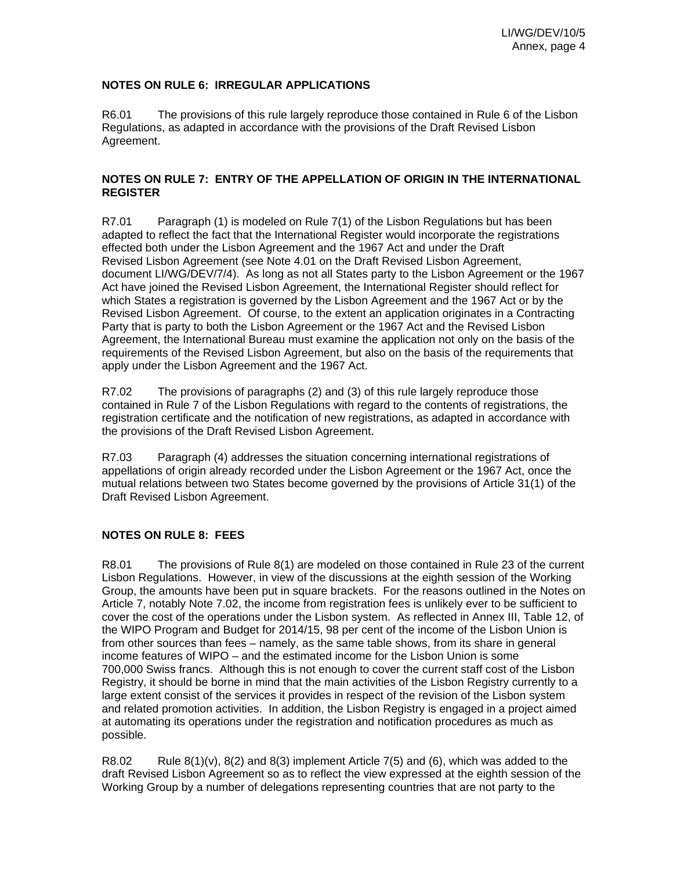# **NOTES ON RULE 6: IRREGULAR APPLICATIONS**

R6.01 The provisions of this rule largely reproduce those contained in Rule 6 of the Lisbon Regulations, as adapted in accordance with the provisions of the Draft Revised Lisbon Agreement.

### **NOTES ON RULE 7: ENTRY OF THE APPELLATION OF ORIGIN IN THE INTERNATIONAL REGISTER**

R7.01 Paragraph (1) is modeled on Rule 7(1) of the Lisbon Regulations but has been adapted to reflect the fact that the International Register would incorporate the registrations effected both under the Lisbon Agreement and the 1967 Act and under the Draft Revised Lisbon Agreement (see Note 4.01 on the Draft Revised Lisbon Agreement, document LI/WG/DEV/7/4). As long as not all States party to the Lisbon Agreement or the 1967 Act have joined the Revised Lisbon Agreement, the International Register should reflect for which States a registration is governed by the Lisbon Agreement and the 1967 Act or by the Revised Lisbon Agreement. Of course, to the extent an application originates in a Contracting Party that is party to both the Lisbon Agreement or the 1967 Act and the Revised Lisbon Agreement, the International Bureau must examine the application not only on the basis of the requirements of the Revised Lisbon Agreement, but also on the basis of the requirements that apply under the Lisbon Agreement and the 1967 Act.

R7.02 The provisions of paragraphs (2) and (3) of this rule largely reproduce those contained in Rule 7 of the Lisbon Regulations with regard to the contents of registrations, the registration certificate and the notification of new registrations, as adapted in accordance with the provisions of the Draft Revised Lisbon Agreement.

R7.03 Paragraph (4) addresses the situation concerning international registrations of appellations of origin already recorded under the Lisbon Agreement or the 1967 Act, once the mutual relations between two States become governed by the provisions of Article 31(1) of the Draft Revised Lisbon Agreement.

### **NOTES ON RULE 8: FEES**

R8.01 The provisions of Rule 8(1) are modeled on those contained in Rule 23 of the current Lisbon Regulations. However, in view of the discussions at the eighth session of the Working Group, the amounts have been put in square brackets. For the reasons outlined in the Notes on Article 7, notably Note 7.02, the income from registration fees is unlikely ever to be sufficient to cover the cost of the operations under the Lisbon system. As reflected in Annex III, Table 12, of the WIPO Program and Budget for 2014/15, 98 per cent of the income of the Lisbon Union is from other sources than fees – namely, as the same table shows, from its share in general income features of WIPO – and the estimated income for the Lisbon Union is some 700,000 Swiss francs. Although this is not enough to cover the current staff cost of the Lisbon Registry, it should be borne in mind that the main activities of the Lisbon Registry currently to a large extent consist of the services it provides in respect of the revision of the Lisbon system and related promotion activities. In addition, the Lisbon Registry is engaged in a project aimed at automating its operations under the registration and notification procedures as much as possible.

R8.02 Rule  $8(1)(v)$ ,  $8(2)$  and  $8(3)$  implement Article 7(5) and (6), which was added to the draft Revised Lisbon Agreement so as to reflect the view expressed at the eighth session of the Working Group by a number of delegations representing countries that are not party to the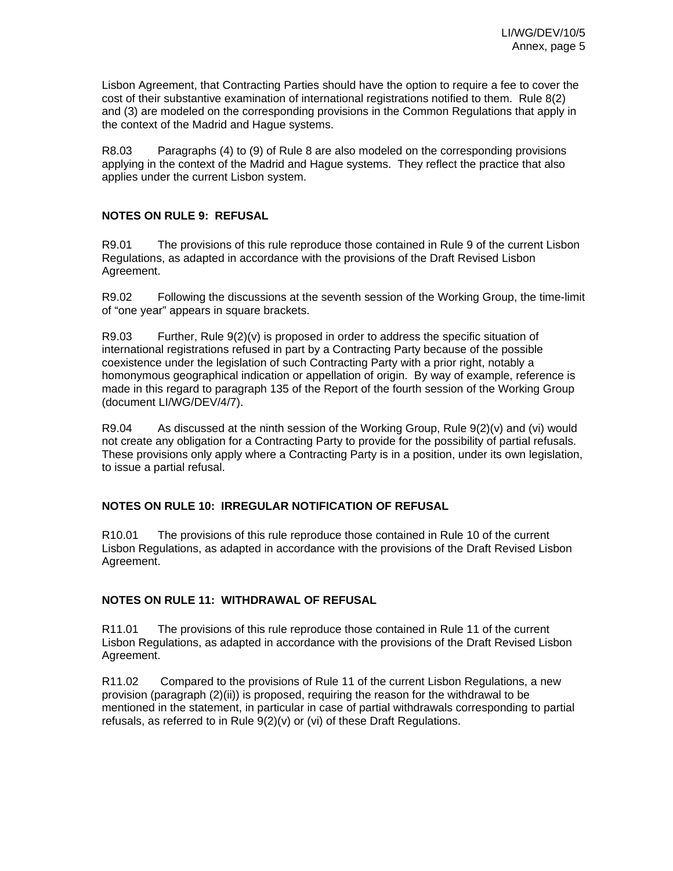Lisbon Agreement, that Contracting Parties should have the option to require a fee to cover the cost of their substantive examination of international registrations notified to them. Rule 8(2) and (3) are modeled on the corresponding provisions in the Common Regulations that apply in the context of the Madrid and Hague systems.

R8.03 Paragraphs (4) to (9) of Rule 8 are also modeled on the corresponding provisions applying in the context of the Madrid and Hague systems. They reflect the practice that also applies under the current Lisbon system.

#### **NOTES ON RULE 9: REFUSAL**

R9.01 The provisions of this rule reproduce those contained in Rule 9 of the current Lisbon Regulations, as adapted in accordance with the provisions of the Draft Revised Lisbon Agreement.

R9.02 Following the discussions at the seventh session of the Working Group, the time-limit of "one year" appears in square brackets.

R9.03 Further, Rule 9(2)(v) is proposed in order to address the specific situation of international registrations refused in part by a Contracting Party because of the possible coexistence under the legislation of such Contracting Party with a prior right, notably a homonymous geographical indication or appellation of origin. By way of example, reference is made in this regard to paragraph 135 of the Report of the fourth session of the Working Group (document LI/WG/DEV/4/7).

R9.04 As discussed at the ninth session of the Working Group, Rule 9(2)(v) and (vi) would not create any obligation for a Contracting Party to provide for the possibility of partial refusals. These provisions only apply where a Contracting Party is in a position, under its own legislation, to issue a partial refusal.

#### **NOTES ON RULE 10: IRREGULAR NOTIFICATION OF REFUSAL**

R10.01 The provisions of this rule reproduce those contained in Rule 10 of the current Lisbon Regulations, as adapted in accordance with the provisions of the Draft Revised Lisbon Agreement.

### **NOTES ON RULE 11: WITHDRAWAL OF REFUSAL**

R11.01 The provisions of this rule reproduce those contained in Rule 11 of the current Lisbon Regulations, as adapted in accordance with the provisions of the Draft Revised Lisbon Agreement.

R11.02 Compared to the provisions of Rule 11 of the current Lisbon Regulations, a new provision (paragraph (2)(ii)) is proposed, requiring the reason for the withdrawal to be mentioned in the statement, in particular in case of partial withdrawals corresponding to partial refusals, as referred to in Rule 9(2)(v) or (vi) of these Draft Regulations.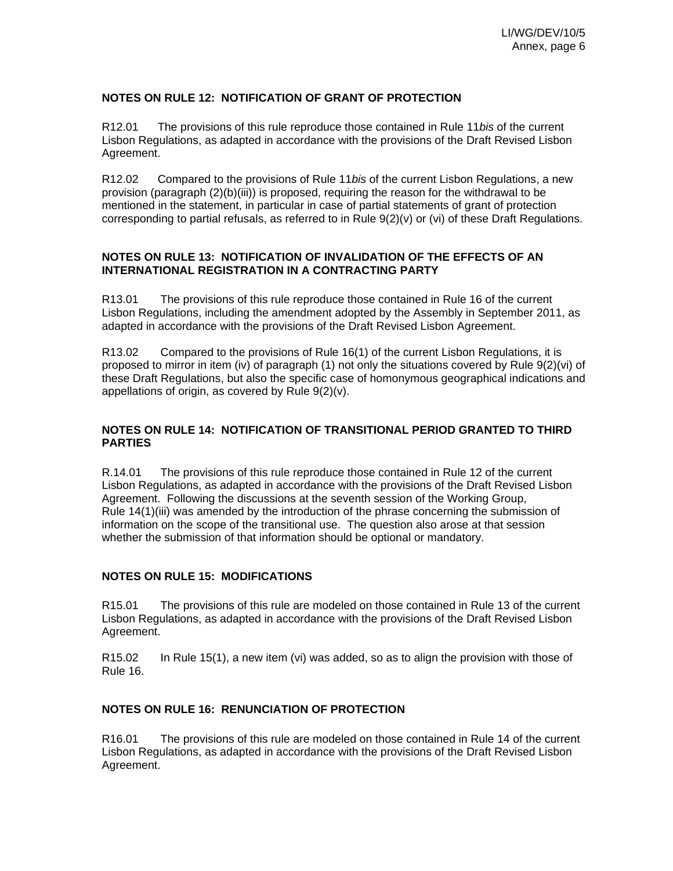#### **NOTES ON RULE 12: NOTIFICATION OF GRANT OF PROTECTION**

R12.01 The provisions of this rule reproduce those contained in Rule 11*bis* of the current Lisbon Regulations, as adapted in accordance with the provisions of the Draft Revised Lisbon Agreement.

R12.02 Compared to the provisions of Rule 11*bis* of the current Lisbon Regulations, a new provision (paragraph (2)(b)(iii)) is proposed, requiring the reason for the withdrawal to be mentioned in the statement, in particular in case of partial statements of grant of protection corresponding to partial refusals, as referred to in Rule 9(2)(v) or (vi) of these Draft Regulations.

#### **NOTES ON RULE 13: NOTIFICATION OF INVALIDATION OF THE EFFECTS OF AN INTERNATIONAL REGISTRATION IN A CONTRACTING PARTY**

R13.01 The provisions of this rule reproduce those contained in Rule 16 of the current Lisbon Regulations, including the amendment adopted by the Assembly in September 2011, as adapted in accordance with the provisions of the Draft Revised Lisbon Agreement.

R13.02 Compared to the provisions of Rule 16(1) of the current Lisbon Regulations, it is proposed to mirror in item (iv) of paragraph (1) not only the situations covered by Rule 9(2)(vi) of these Draft Regulations, but also the specific case of homonymous geographical indications and appellations of origin, as covered by Rule 9(2)(v).

### **NOTES ON RULE 14: NOTIFICATION OF TRANSITIONAL PERIOD GRANTED TO THIRD PARTIES**

R.14.01 The provisions of this rule reproduce those contained in Rule 12 of the current Lisbon Regulations, as adapted in accordance with the provisions of the Draft Revised Lisbon Agreement. Following the discussions at the seventh session of the Working Group, Rule 14(1)(iii) was amended by the introduction of the phrase concerning the submission of information on the scope of the transitional use. The question also arose at that session whether the submission of that information should be optional or mandatory.

#### **NOTES ON RULE 15: MODIFICATIONS**

R15.01 The provisions of this rule are modeled on those contained in Rule 13 of the current Lisbon Regulations, as adapted in accordance with the provisions of the Draft Revised Lisbon Agreement.

R15.02 In Rule 15(1), a new item (vi) was added, so as to align the provision with those of Rule 16.

# **NOTES ON RULE 16: RENUNCIATION OF PROTECTION**

R16.01 The provisions of this rule are modeled on those contained in Rule 14 of the current Lisbon Regulations, as adapted in accordance with the provisions of the Draft Revised Lisbon Agreement.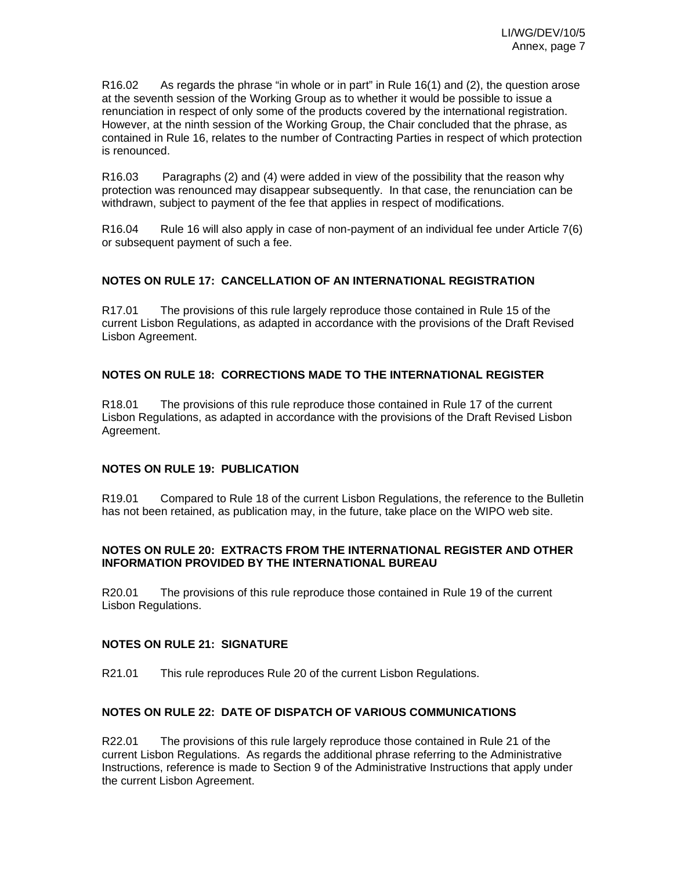R16.02 As regards the phrase "in whole or in part" in Rule 16(1) and (2), the question arose at the seventh session of the Working Group as to whether it would be possible to issue a renunciation in respect of only some of the products covered by the international registration. However, at the ninth session of the Working Group, the Chair concluded that the phrase, as contained in Rule 16, relates to the number of Contracting Parties in respect of which protection is renounced.

R16.03 Paragraphs (2) and (4) were added in view of the possibility that the reason why protection was renounced may disappear subsequently. In that case, the renunciation can be withdrawn, subject to payment of the fee that applies in respect of modifications.

R16.04 Rule 16 will also apply in case of non-payment of an individual fee under Article 7(6) or subsequent payment of such a fee.

# **NOTES ON RULE 17: CANCELLATION OF AN INTERNATIONAL REGISTRATION**

R17.01 The provisions of this rule largely reproduce those contained in Rule 15 of the current Lisbon Regulations, as adapted in accordance with the provisions of the Draft Revised Lisbon Agreement.

# **NOTES ON RULE 18: CORRECTIONS MADE TO THE INTERNATIONAL REGISTER**

R18.01 The provisions of this rule reproduce those contained in Rule 17 of the current Lisbon Regulations, as adapted in accordance with the provisions of the Draft Revised Lisbon Agreement.

### **NOTES ON RULE 19: PUBLICATION**

R19.01 Compared to Rule 18 of the current Lisbon Regulations, the reference to the Bulletin has not been retained, as publication may, in the future, take place on the WIPO web site.

### **NOTES ON RULE 20: EXTRACTS FROM THE INTERNATIONAL REGISTER AND OTHER INFORMATION PROVIDED BY THE INTERNATIONAL BUREAU**

R20.01 The provisions of this rule reproduce those contained in Rule 19 of the current Lisbon Regulations.

### **NOTES ON RULE 21: SIGNATURE**

R21.01 This rule reproduces Rule 20 of the current Lisbon Regulations.

### **NOTES ON RULE 22: DATE OF DISPATCH OF VARIOUS COMMUNICATIONS**

R22.01 The provisions of this rule largely reproduce those contained in Rule 21 of the current Lisbon Regulations. As regards the additional phrase referring to the Administrative Instructions, reference is made to Section 9 of the Administrative Instructions that apply under the current Lisbon Agreement.